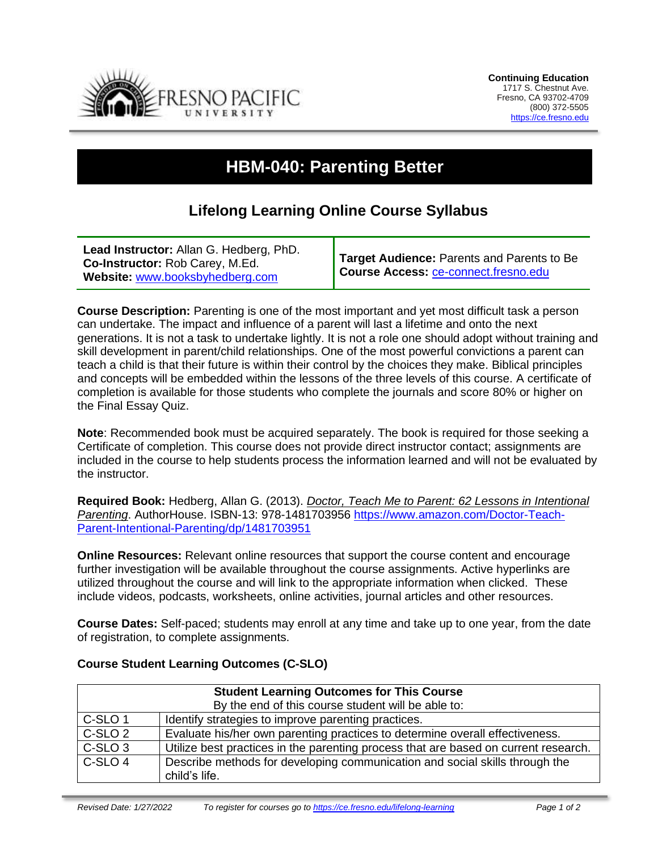

## **HBM-040: Parenting Better**

## **Lifelong Learning Online Course Syllabus**

| Lead Instructor: Allan G. Hedberg, PhD.<br>Co-Instructor: Rob Carey, M.Ed.<br>Website: www.booksbyhedberg.com | Target Audience: Parents and Parents to Be<br>Course Access: ce-connect.fresno.edu |
|---------------------------------------------------------------------------------------------------------------|------------------------------------------------------------------------------------|
|---------------------------------------------------------------------------------------------------------------|------------------------------------------------------------------------------------|

**Course Description:** Parenting is one of the most important and yet most difficult task a person can undertake. The impact and influence of a parent will last a lifetime and onto the next generations. It is not a task to undertake lightly. It is not a role one should adopt without training and skill development in parent/child relationships. One of the most powerful convictions a parent can teach a child is that their future is within their control by the choices they make. Biblical principles and concepts will be embedded within the lessons of the three levels of this course. A certificate of completion is available for those students who complete the journals and score 80% or higher on the Final Essay Quiz.

**Note**: Recommended book must be acquired separately. The book is required for those seeking a Certificate of completion. This course does not provide direct instructor contact; assignments are included in the course to help students process the information learned and will not be evaluated by the instructor.

**Required Book:** Hedberg, Allan G. (2013). *Doctor, Teach Me to Parent: 62 Lessons in Intentional Parenting*. AuthorHouse. ISBN-13: 978-1481703956 [https://www.amazon.com/Doctor-Teach-](https://www.amazon.com/Doctor-Teach-Parent-Intentional-Parenting/dp/1481703951)[Parent-Intentional-Parenting/dp/1481703951](https://www.amazon.com/Doctor-Teach-Parent-Intentional-Parenting/dp/1481703951)

**Online Resources:** Relevant online resources that support the course content and encourage further investigation will be available throughout the course assignments. Active hyperlinks are utilized throughout the course and will link to the appropriate information when clicked. These include videos, podcasts, worksheets, online activities, journal articles and other resources.

**Course Dates:** Self-paced; students may enroll at any time and take up to one year, from the date of registration, to complete assignments.

| <b>Student Learning Outcomes for This Course</b>   |                                                                                              |  |
|----------------------------------------------------|----------------------------------------------------------------------------------------------|--|
| By the end of this course student will be able to: |                                                                                              |  |
| C-SLO <sub>1</sub>                                 | Identify strategies to improve parenting practices.                                          |  |
| C-SLO 2                                            | Evaluate his/her own parenting practices to determine overall effectiveness.                 |  |
| C-SLO <sub>3</sub>                                 | Utilize best practices in the parenting process that are based on current research.          |  |
| C-SLO <sub>4</sub>                                 | Describe methods for developing communication and social skills through the<br>child's life. |  |

## **Course Student Learning Outcomes (C-SLO)**